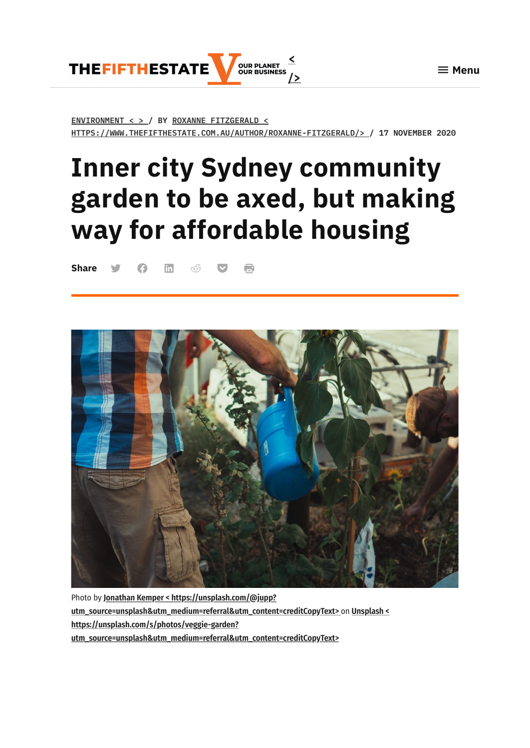$\equiv$  Menu



**[ENVIRONMENT](https://www.thefifthestate.com.au/urbanism/environment/inner-city-sydney-community-garden-to-be-axed-but-making-way-for-affordable-housing/) < > / BY ROXANNE FITZGERALD < [HTTPS://WWW.THEFIFTHESTATE.COM.AU/AUTHOR/ROXANNE-FITZGERALD/>](https://www.thefifthestate.com.au/author/roxanne-fitzgerald/) / 17 NOVEMBER 2020**

# **Inner city Sydney community garden to be axed, but making way for affordable housing**

**Share Similar Share** 



Photo by **Jonathan Kemper < https://unsplash.com/@jupp? [utm\\_source=unsplash&utm\\_medium=referral&utm\\_content=creditCopyText>](https://unsplash.com/@jupp?utm_source=unsplash&utm_medium=referral&utm_content=creditCopyText)** on **Unsplash < https://unsplash.com/s/photos/veggie-garden? [utm\\_source=unsplash&utm\\_medium=referral&utm\\_content=creditCopyText>](https://unsplash.com/s/photos/veggie-garden?utm_source=unsplash&utm_medium=referral&utm_content=creditCopyText)**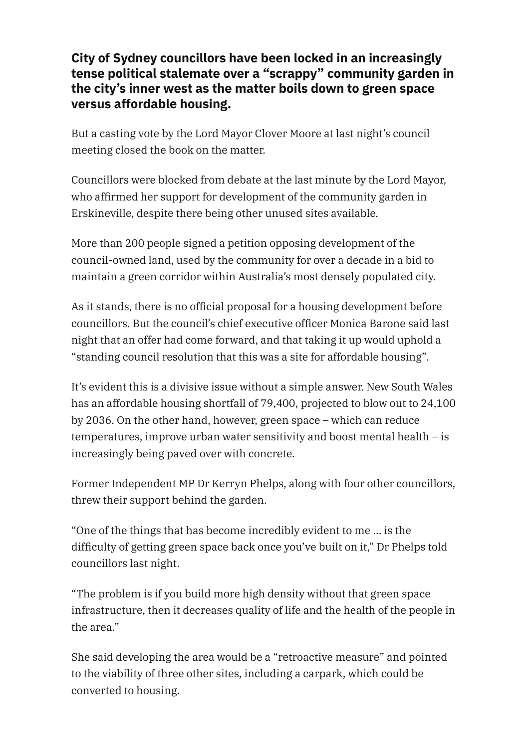#### **City of Sydney councillors have been locked in an increasingly tense political stalemate over a "scrappy" community garden in the city's inner west as the matter boils down to green space versus affordable housing.**

But a casting vote by the Lord Mayor Clover Moore at last night's council meeting closed the book on the matter.

Councillors were blocked from debate at the last minute by the Lord Mayor, who affirmed her support for development of the community garden in Erskineville, despite there being other unused sites available.

More than 200 people signed a petition opposing development of the council-owned land, used by the community for over a decade in a bid to maintain a green corridor within Australia's most densely populated city.

As it stands, there is no official proposal for a housing development before councillors. But the council's chief executive officer Monica Barone said last night that an offer had come forward, and that taking it up would uphold a "standing council resolution that this was a site for affordable housing".

It's evident this is a divisive issue without a simple answer. New South Wales has an affordable housing shortfall of 79,400, projected to blow out to 24,100 by 2036. On the other hand, however, green space – which can reduce temperatures, improve urban water sensitivity and boost mental health – is increasingly being paved over with concrete.

Former Independent MP Dr Kerryn Phelps, along with four other councillors, threw their support behind the garden.

"One of the things that has become incredibly evident to me … is the difculty of getting green space back once you've built on it," Dr Phelps told councillors last night.

"The problem is if you build more high density without that green space infrastructure, then it decreases quality of life and the health of the people in the area."

She said developing the area would be a "retroactive measure" and pointed to the viability of three other sites, including a carpark, which could be converted to housing.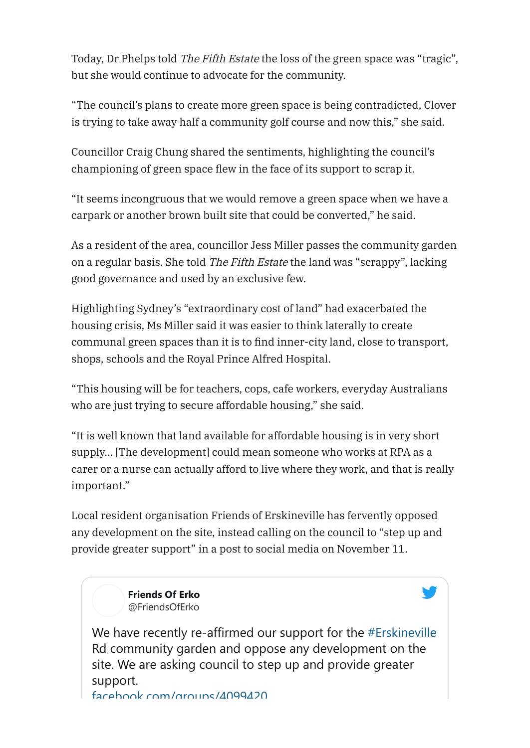Today, Dr Phelps told The Fifth Estate the loss of the green space was "tragic", but she would continue to advocate for the community.

"The council's plans to create more green space is being contradicted, Clover is trying to take away half a community golf course and now this," she said.

Councillor Craig Chung shared the sentiments, highlighting the council's championing of green space flew in the face of its support to scrap it.

"It seems incongruous that we would remove a green space when we have a carpark or another brown built site that could be converted," he said.

As a resident of the area, councillor Jess Miller passes the community garden on a regular basis. She told The Fifth Estate the land was "scrappy", lacking good governance and used by an exclusive few.

Highlighting Sydney's "extraordinary cost of land" had exacerbated the housing crisis, Ms Miller said it was easier to think laterally to create communal green spaces than it is to find inner-city land, close to transport, shops, schools and the Royal Prince Alfred Hospital.

"This housing will be for teachers, cops, cafe workers, everyday Australians who are just trying to secure affordable housing," she said.

"It is well known that land available for affordable housing is in very short supply… [The development] could mean someone who works at RPA as a carer or a nurse can actually afford to live where they work, and that is really important."

Local resident organisation Friends of Erskineville has fervently opposed any development on the site, instead calling on the council to "step up and provide greater support" in a post to social media on November 11.

> **[Friends Of Erko](https://twitter.com/FriendsOfErko?ref_src=twsrc%5Etfw%7Ctwcamp%5Etweetembed%7Ctwterm%5E1326382099981602817%7Ctwgr%5E&ref_url=https%3A%2F%2Fd-38734934041721905630.ampproject.net%2F2011070101001%2Fframe.html)** @FriendsOfErko

We have recently re-affirmed our support for the [#Erskineville](https://twitter.com/hashtag/Erskineville?src=hashtag_click) Rd community garden and oppose any development on the site. We are asking council to step up and provide greater support. facebook [com/groups/4099420](https://t.co/tMH6mDneq1?amp=1)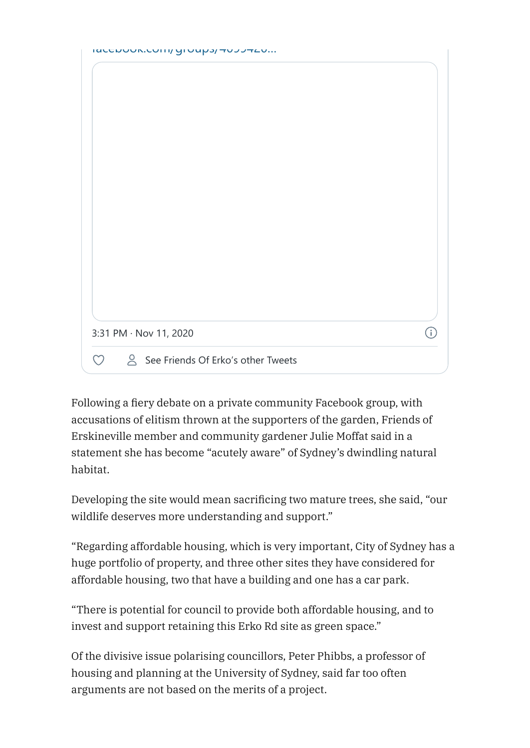| <b>IULLNUUN.LUITII/ YIUUUJITUJJTLU</b> |
|----------------------------------------|
|----------------------------------------|

| 3:31 PM · Nov 11, 2020 |  |
|------------------------|--|

Following a fiery debate on a private community Facebook group, with accusations of elitism thrown at the supporters of the garden, Friends of Erskineville member and community gardener Julie Moffat said in a statement she has become "acutely aware" of Sydney's dwindling natural habitat.

Developing the site would mean sacrificing two mature trees, she said, "our wildlife deserves more understanding and support."

"Regarding affordable housing, which is very important, City of Sydney has a huge portfolio of property, and three other sites they have considered for affordable housing, two that have a building and one has a car park.

"There is potential for council to provide both affordable housing, and to invest and support retaining this Erko Rd site as green space."

Of the divisive issue polarising councillors, Peter Phibbs, a professor of housing and planning at the University of Sydney, said far too often arguments are not based on the merits of a project.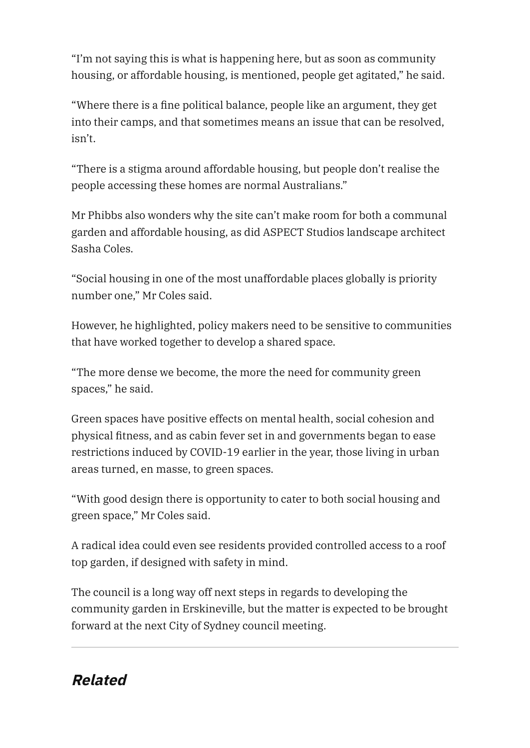"I'm not saying this is what is happening here, but as soon as community housing, or affordable housing, is mentioned, people get agitated," he said.

"Where there is a fine political balance, people like an argument, they get into their camps, and that sometimes means an issue that can be resolved, isn't.

"There is a stigma around affordable housing, but people don't realise the people accessing these homes are normal Australians."

Mr Phibbs also wonders why the site can't make room for both a communal garden and affordable housing, as did ASPECT Studios landscape architect Sasha Coles.

"Social housing in one of the most unaffordable places globally is priority number one," Mr Coles said.

However, he highlighted, policy makers need to be sensitive to communities that have worked together to develop a shared space.

"The more dense we become, the more the need for community green spaces," he said.

Green spaces have positive effects on mental health, social cohesion and physical fitness, and as cabin fever set in and governments began to ease restrictions induced by COVID-19 earlier in the year, those living in urban areas turned, en masse, to green spaces.

"With good design there is opportunity to cater to both social housing and green space," Mr Coles said.

A radical idea could even see residents provided controlled access to a roof top garden, if designed with safety in mind.

The council is a long way off next steps in regards to developing the community garden in Erskineville, but the matter is expected to be brought forward at the next City of Sydney council meeting.

## **Related**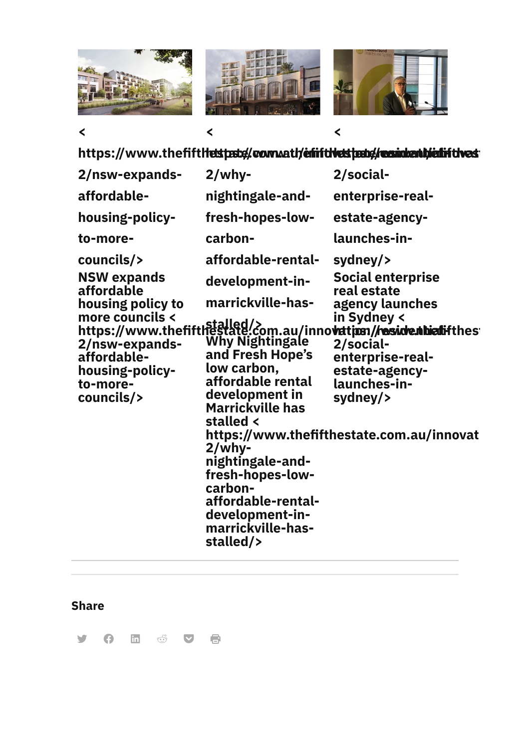

**<**



**<**



**<**

**https://www.thefifthestpate/worm.aut/enfifthestpate/residenti/enfifthes**t

| 2/nsw-expands-                                                                                                                                                       | $2$ /why-                                                                                                                                                                                                                                                                                                                                         | 2/social-                                                                                                                                                                                                                                   |
|----------------------------------------------------------------------------------------------------------------------------------------------------------------------|---------------------------------------------------------------------------------------------------------------------------------------------------------------------------------------------------------------------------------------------------------------------------------------------------------------------------------------------------|---------------------------------------------------------------------------------------------------------------------------------------------------------------------------------------------------------------------------------------------|
| affordable-                                                                                                                                                          | nightingale-and-                                                                                                                                                                                                                                                                                                                                  | enterprise-real-                                                                                                                                                                                                                            |
| housing-policy-                                                                                                                                                      | fresh-hopes-low-                                                                                                                                                                                                                                                                                                                                  | estate-agency-                                                                                                                                                                                                                              |
| to-more-                                                                                                                                                             | carbon-                                                                                                                                                                                                                                                                                                                                           | launches-in-                                                                                                                                                                                                                                |
| councils/><br><b>NSW</b> expands<br>affordable<br>housing policy to<br>more councils <<br>2/nsw-expands-<br>affordable-<br>housing-policy-<br>to-more-<br>councils/> | affordable-rental-<br>development-in-<br>marrickville-has-<br><b>Why Nightingale</b><br>and Fresh Hope's<br>low carbon,<br>affordable rental<br>development in<br><b>Marrickville has</b><br>stalled <<br>$2$ /why-<br>nightingale-and-<br>fresh-hopes-low-<br>carbon-<br>affordable-rental-<br>development-in-<br>marrickville-has-<br>stalled/> | sydney/><br><b>Social enterprise</b><br>real estate<br>agency launches<br>in Sydney <<br>nivie counciles<br><b>2/social-</b><br>enterprise-real-<br>estate-agency-<br>launches-in-<br>sydney/><br>https://www.thefifthestate.com.au/innovat |

### **Share**

**y Q in & V B**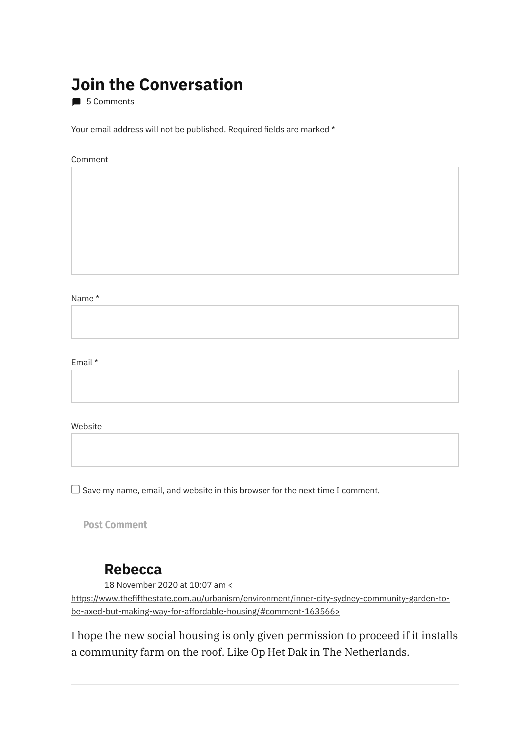# **Join the Conversation**

5 Comments

Your email address will not be published. Required fields are marked \*

#### Comment

Name \*

Email \*

Website

 $\Box$  Save my name, email, and website in this browser for the next time I comment.

**Post Comment**

#### <span id="page-6-0"></span>**Rebecca**

18 November 2020 at 10:07 am <

[https://www.thefthestate.com.au/urbanism/environment/inner-city-sydney-community-garden-to](#page-6-0)be-axed-but-making-way-for-affordable-housing/#comment-163566>

<span id="page-6-1"></span>I hope the new social housing is only given permission to proceed if it installs a community farm on the roof. Like Op Het Dak in The Netherlands.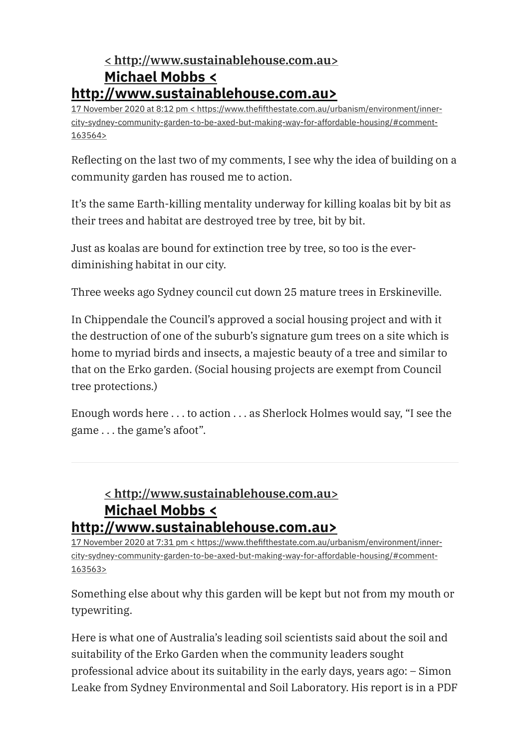#### **< [http://www.sustainablehouse.com.au>](http://www.sustainablehouse.com.au/) Michael Mobbs < [http://www.sustainablehouse.com.au>](http://www.sustainablehouse.com.au/)**

17 November 2020 at 8:12 pm < https://www.thefthestate.com.au/urbanism/environment/inner[city-sydney-community-garden-to-be-axed-but-making-way-for-affordable-housing/#comment-](#page-6-1)163564>

Reflecting on the last two of my comments, I see why the idea of building on a community garden has roused me to action.

It's the same Earth-killing mentality underway for killing koalas bit by bit as their trees and habitat are destroyed tree by tree, bit by bit.

Just as koalas are bound for extinction tree by tree, so too is the everdiminishing habitat in our city.

Three weeks ago Sydney council cut down 25 mature trees in Erskineville.

In Chippendale the Council's approved a social housing project and with it the destruction of one of the suburb's signature gum trees on a site which is home to myriad birds and insects, a majestic beauty of a tree and similar to that on the Erko garden. (Social housing projects are exempt from Council tree protections.)

Enough words here . . . to action . . . as Sherlock Holmes would say, "I see the game . . . the game's afoot".

#### <span id="page-7-0"></span>**< [http://www.sustainablehouse.com.au>](http://www.sustainablehouse.com.au/) Michael Mobbs < [http://www.sustainablehouse.com.au>](http://www.sustainablehouse.com.au/)**

17 November 2020 at 7:31 pm < https://www.thefthestate.com.au/urbanism/environment/inner[city-sydney-community-garden-to-be-axed-but-making-way-for-affordable-housing/#comment-](#page-7-0)163563>

Something else about why this garden will be kept but not from my mouth or typewriting.

Here is what one of Australia's leading soil scientists said about the soil and suitability of the Erko Garden when the community leaders sought professional advice about its suitability in the early days, years ago: – Simon Leake from Sydney Environmental and Soil Laboratory. His report is in a PDF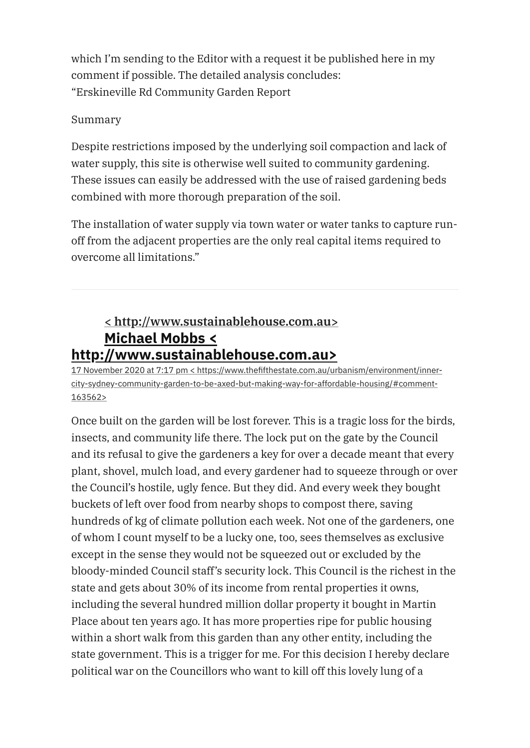which I'm sending to the Editor with a request it be published here in my comment if possible. The detailed analysis concludes: "Erskineville Rd Community Garden Report

#### Summary

Despite restrictions imposed by the underlying soil compaction and lack of water supply, this site is otherwise well suited to community gardening. These issues can easily be addressed with the use of raised gardening beds combined with more thorough preparation of the soil.

The installation of water supply via town water or water tanks to capture runoff from the adjacent properties are the only real capital items required to overcome all limitations."

#### <span id="page-8-0"></span>**< [http://www.sustainablehouse.com.au>](http://www.sustainablehouse.com.au/) Michael Mobbs < [http://www.sustainablehouse.com.au>](http://www.sustainablehouse.com.au/)**

17 November 2020 at 7:17 pm < https://www.thefthestate.com.au/urbanism/environment/inner[city-sydney-community-garden-to-be-axed-but-making-way-for-affordable-housing/#comment-](#page-8-0)163562>

Once built on the garden will be lost forever. This is a tragic loss for the birds, insects, and community life there. The lock put on the gate by the Council and its refusal to give the gardeners a key for over a decade meant that every plant, shovel, mulch load, and every gardener had to squeeze through or over the Council's hostile, ugly fence. But they did. And every week they bought buckets of left over food from nearby shops to compost there, saving hundreds of kg of climate pollution each week. Not one of the gardeners, one of whom I count myself to be a lucky one, too, sees themselves as exclusive except in the sense they would not be squeezed out or excluded by the bloody-minded Council staff's security lock. This Council is the richest in the state and gets about 30% of its income from rental properties it owns, including the several hundred million dollar property it bought in Martin Place about ten years ago. It has more properties ripe for public housing within a short walk from this garden than any other entity, including the state government. This is a trigger for me. For this decision I hereby declare political war on the Councillors who want to kill off this lovely lung of a